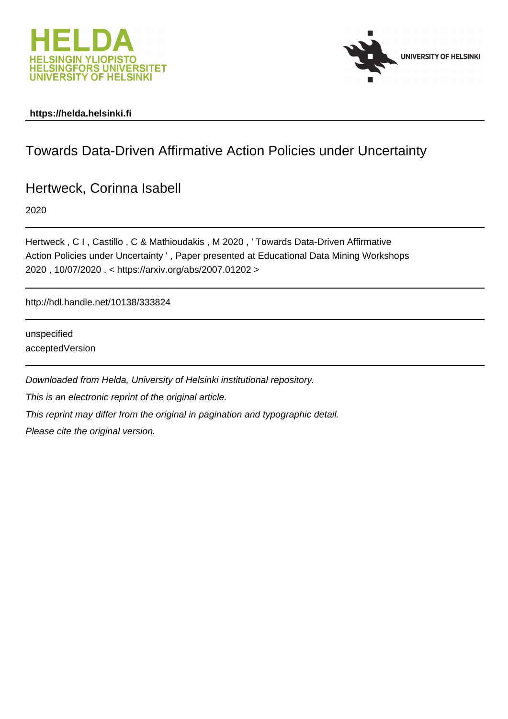



# **https://helda.helsinki.fi**

# Towards Data-Driven Affirmative Action Policies under Uncertainty

Hertweck, Corinna Isabell

2020

Hertweck , C I , Castillo , C & Mathioudakis , M 2020 , ' Towards Data-Driven Affirmative Action Policies under Uncertainty ' , Paper presented at Educational Data Mining Workshops 2020 , 10/07/2020 . < https://arxiv.org/abs/2007.01202 >

http://hdl.handle.net/10138/333824

unspecified acceptedVersion

Downloaded from Helda, University of Helsinki institutional repository. This is an electronic reprint of the original article. This reprint may differ from the original in pagination and typographic detail. Please cite the original version.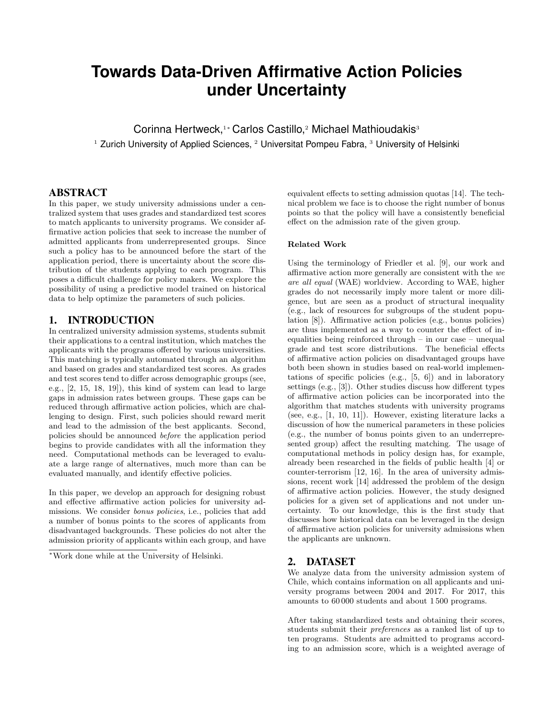# **Towards Data-Driven Affirmative Action Policies under Uncertainty**

Corinna Hertweck,<sup>1</sup>\* Carlos Castillo,<sup>2</sup> Michael Mathioudakis<sup>3</sup>  $1$  Zurich University of Applied Sciences,  $2$  Universitat Pompeu Fabra,  $3$  University of Helsinki

### ABSTRACT

In this paper, we study university admissions under a centralized system that uses grades and standardized test scores to match applicants to university programs. We consider affirmative action policies that seek to increase the number of admitted applicants from underrepresented groups. Since such a policy has to be announced before the start of the application period, there is uncertainty about the score distribution of the students applying to each program. This poses a difficult challenge for policy makers. We explore the possibility of using a predictive model trained on historical data to help optimize the parameters of such policies.

## 1. INTRODUCTION

In centralized university admission systems, students submit their applications to a central institution, which matches the applicants with the programs offered by various universities. This matching is typically automated through an algorithm and based on grades and standardized test scores. As grades and test scores tend to differ across demographic groups (see, e.g., [2, 15, 18, 19]), this kind of system can lead to large gaps in admission rates between groups. These gaps can be reduced through affirmative action policies, which are challenging to design. First, such policies should reward merit and lead to the admission of the best applicants. Second, policies should be announced before the application period begins to provide candidates with all the information they need. Computational methods can be leveraged to evaluate a large range of alternatives, much more than can be evaluated manually, and identify effective policies.

In this paper, we develop an approach for designing robust and effective affirmative action policies for university admissions. We consider bonus policies, i.e., policies that add a number of bonus points to the scores of applicants from disadvantaged backgrounds. These policies do not alter the admission priority of applicants within each group, and have

<sup>∗</sup>Work done while at the University of Helsinki.

equivalent effects to setting admission quotas [14]. The technical problem we face is to choose the right number of bonus points so that the policy will have a consistently beneficial effect on the admission rate of the given group.

#### Related Work

Using the terminology of Friedler et al. [9], our work and affirmative action more generally are consistent with the we are all equal (WAE) worldview. According to WAE, higher grades do not necessarily imply more talent or more diligence, but are seen as a product of structural inequality (e.g., lack of resources for subgroups of the student population [8]). Affirmative action policies (e.g., bonus policies) are thus implemented as a way to counter the effect of inequalities being reinforced through – in our case – unequal grade and test score distributions. The beneficial effects of affirmative action policies on disadvantaged groups have both been shown in studies based on real-world implementations of specific policies (e.g., [5, 6]) and in laboratory settings (e.g., [3]). Other studies discuss how different types of affirmative action policies can be incorporated into the algorithm that matches students with university programs (see, e.g., [1, 10, 11]). However, existing literature lacks a discussion of how the numerical parameters in these policies (e.g., the number of bonus points given to an underrepresented group) affect the resulting matching. The usage of computational methods in policy design has, for example, already been researched in the fields of public health [4] or counter-terrorism [12, 16]. In the area of university admissions, recent work [14] addressed the problem of the design of affirmative action policies. However, the study designed policies for a given set of applications and not under uncertainty. To our knowledge, this is the first study that discusses how historical data can be leveraged in the design of affirmative action policies for university admissions when the applicants are unknown.

#### 2. DATASET

We analyze data from the university admission system of Chile, which contains information on all applicants and university programs between 2004 and 2017. For 2017, this amounts to 60 000 students and about 1 500 programs.

After taking standardized tests and obtaining their scores, students submit their preferences as a ranked list of up to ten programs. Students are admitted to programs according to an admission score, which is a weighted average of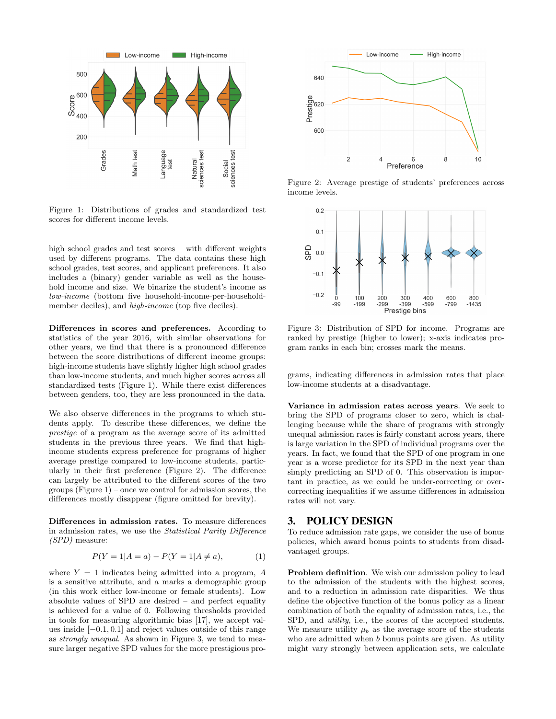

Figure 1: Distributions of grades and standardized test scores for different income levels.

high school grades and test scores – with different weights used by different programs. The data contains these high school grades, test scores, and applicant preferences. It also includes a (binary) gender variable as well as the household income and size. We binarize the student's income as low-income (bottom five household-income-per-householdmember deciles), and *high-income* (top five deciles).

Differences in scores and preferences. According to statistics of the year 2016, with similar observations for other years, we find that there is a pronounced difference between the score distributions of different income groups: high-income students have slightly higher high school grades than low-income students, and much higher scores across all standardized tests (Figure 1). While there exist differences between genders, too, they are less pronounced in the data.

We also observe differences in the programs to which students apply. To describe these differences, we define the prestige of a program as the average score of its admitted students in the previous three years. We find that highincome students express preference for programs of higher average prestige compared to low-income students, particularly in their first preference (Figure 2). The difference can largely be attributed to the different scores of the two groups  $(Figure 1)$  – once we control for admission scores, the differences mostly disappear (figure omitted for brevity).

Differences in admission rates. To measure differences in admission rates, we use the Statistical Parity Difference (SPD) measure:

$$
P(Y = 1 | A = a) - P(Y = 1 | A \neq a), \tag{1}
$$

where  $Y = 1$  indicates being admitted into a program, A is a sensitive attribute, and a marks a demographic group (in this work either low-income or female students). Low absolute values of SPD are desired – and perfect equality is achieved for a value of 0. Following thresholds provided in tools for measuring algorithmic bias [17], we accept values inside [−0.1, 0.1] and reject values outside of this range as strongly unequal. As shown in Figure 3, we tend to measure larger negative SPD values for the more prestigious pro-



Figure 2: Average prestige of students' preferences across income levels.



Figure 3: Distribution of SPD for income. Programs are ranked by prestige (higher to lower); x-axis indicates program ranks in each bin; crosses mark the means.

grams, indicating differences in admission rates that place low-income students at a disadvantage.

Variance in admission rates across years. We seek to bring the SPD of programs closer to zero, which is challenging because while the share of programs with strongly unequal admission rates is fairly constant across years, there is large variation in the SPD of individual programs over the years. In fact, we found that the SPD of one program in one year is a worse predictor for its SPD in the next year than simply predicting an SPD of 0. This observation is important in practice, as we could be under-correcting or overcorrecting inequalities if we assume differences in admission rates will not vary.

#### 3. POLICY DESIGN

To reduce admission rate gaps, we consider the use of bonus policies, which award bonus points to students from disadvantaged groups.

Problem definition. We wish our admission policy to lead to the admission of the students with the highest scores, and to a reduction in admission rate disparities. We thus define the objective function of the bonus policy as a linear combination of both the equality of admission rates, i.e., the SPD, and *utility*, i.e., the scores of the accepted students. We measure utility  $\mu_b$  as the average score of the students who are admitted when b bonus points are given. As utility might vary strongly between application sets, we calculate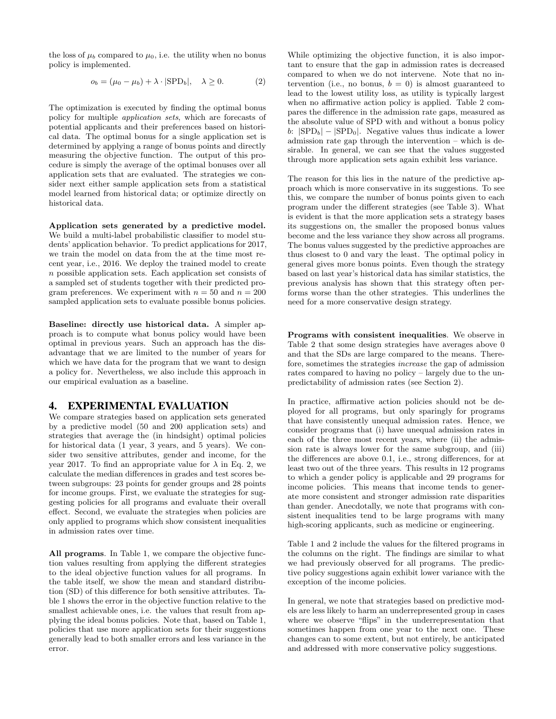the loss of  $\mu_b$  compared to  $\mu_0$ , i.e. the utility when no bonus policy is implemented.

$$
o_b = (\mu_0 - \mu_b) + \lambda \cdot |\text{SPD}_b|, \quad \lambda \ge 0. \tag{2}
$$

The optimization is executed by finding the optimal bonus policy for multiple application sets, which are forecasts of potential applicants and their preferences based on historical data. The optimal bonus for a single application set is determined by applying a range of bonus points and directly measuring the objective function. The output of this procedure is simply the average of the optimal bonuses over all application sets that are evaluated. The strategies we consider next either sample application sets from a statistical model learned from historical data; or optimize directly on historical data.

Application sets generated by a predictive model. We build a multi-label probabilistic classifier to model students' application behavior. To predict applications for 2017, we train the model on data from the at the time most recent year, i.e., 2016. We deploy the trained model to create  $n$  possible application sets. Each application set consists of a sampled set of students together with their predicted program preferences. We experiment with  $n = 50$  and  $n = 200$ sampled application sets to evaluate possible bonus policies.

Baseline: directly use historical data. A simpler approach is to compute what bonus policy would have been optimal in previous years. Such an approach has the disadvantage that we are limited to the number of years for which we have data for the program that we want to design a policy for. Nevertheless, we also include this approach in our empirical evaluation as a baseline.

#### 4. EXPERIMENTAL EVALUATION

We compare strategies based on application sets generated by a predictive model (50 and 200 application sets) and strategies that average the (in hindsight) optimal policies for historical data (1 year, 3 years, and 5 years). We consider two sensitive attributes, gender and income, for the year 2017. To find an appropriate value for  $\lambda$  in Eq. 2, we calculate the median differences in grades and test scores between subgroups: 23 points for gender groups and 28 points for income groups. First, we evaluate the strategies for suggesting policies for all programs and evaluate their overall effect. Second, we evaluate the strategies when policies are only applied to programs which show consistent inequalities in admission rates over time.

All programs. In Table 1, we compare the objective function values resulting from applying the different strategies to the ideal objective function values for all programs. In the table itself, we show the mean and standard distribution (SD) of this difference for both sensitive attributes. Table 1 shows the error in the objective function relative to the smallest achievable ones, i.e. the values that result from applying the ideal bonus policies. Note that, based on Table 1, policies that use more application sets for their suggestions generally lead to both smaller errors and less variance in the error.

While optimizing the objective function, it is also important to ensure that the gap in admission rates is decreased compared to when we do not intervene. Note that no intervention (i.e., no bonus,  $b = 0$ ) is almost guaranteed to lead to the lowest utility loss, as utility is typically largest when no affirmative action policy is applied. Table 2 compares the difference in the admission rate gaps, measured as the absolute value of SPD with and without a bonus policy b:  $|SPD_b| - |SPD_0|$ . Negative values thus indicate a lower admission rate gap through the intervention – which is desirable. In general, we can see that the values suggested through more application sets again exhibit less variance.

The reason for this lies in the nature of the predictive approach which is more conservative in its suggestions. To see this, we compare the number of bonus points given to each program under the different strategies (see Table 3). What is evident is that the more application sets a strategy bases its suggestions on, the smaller the proposed bonus values become and the less variance they show across all programs. The bonus values suggested by the predictive approaches are thus closest to 0 and vary the least. The optimal policy in general gives more bonus points. Even though the strategy based on last year's historical data has similar statistics, the previous analysis has shown that this strategy often performs worse than the other strategies. This underlines the need for a more conservative design strategy.

Programs with consistent inequalities. We observe in Table 2 that some design strategies have averages above 0 and that the SDs are large compared to the means. Therefore, sometimes the strategies increase the gap of admission rates compared to having no policy – largely due to the unpredictability of admission rates (see Section 2).

In practice, affirmative action policies should not be deployed for all programs, but only sparingly for programs that have consistently unequal admission rates. Hence, we consider programs that (i) have unequal admission rates in each of the three most recent years, where (ii) the admission rate is always lower for the same subgroup, and (iii) the differences are above 0.1, i.e., strong differences, for at least two out of the three years. This results in 12 programs to which a gender policy is applicable and 29 programs for income policies. This means that income tends to generate more consistent and stronger admission rate disparities than gender. Anecdotally, we note that programs with consistent inequalities tend to be large programs with many high-scoring applicants, such as medicine or engineering.

Table 1 and 2 include the values for the filtered programs in the columns on the right. The findings are similar to what we had previously observed for all programs. The predictive policy suggestions again exhibit lower variance with the exception of the income policies.

In general, we note that strategies based on predictive models are less likely to harm an underrepresented group in cases where we observe "flips" in the underrepresentation that sometimes happen from one year to the next one. These changes can to some extent, but not entirely, be anticipated and addressed with more conservative policy suggestions.